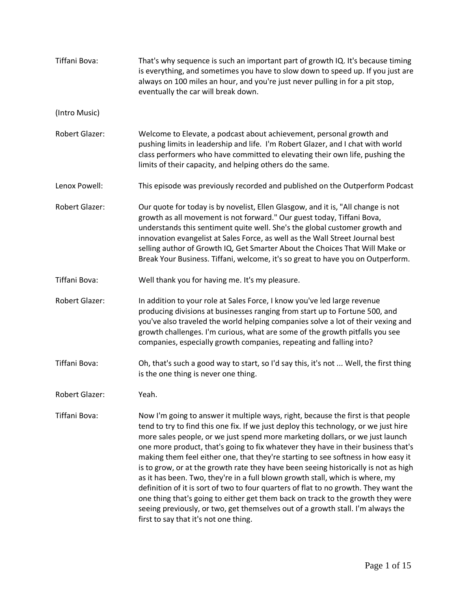| Tiffani Bova:         | That's why sequence is such an important part of growth IQ. It's because timing<br>is everything, and sometimes you have to slow down to speed up. If you just are<br>always on 100 miles an hour, and you're just never pulling in for a pit stop,<br>eventually the car will break down.                                                                                                                                                                                                                                                                                                                                                                                                                                                                                                                                                                                                                          |
|-----------------------|---------------------------------------------------------------------------------------------------------------------------------------------------------------------------------------------------------------------------------------------------------------------------------------------------------------------------------------------------------------------------------------------------------------------------------------------------------------------------------------------------------------------------------------------------------------------------------------------------------------------------------------------------------------------------------------------------------------------------------------------------------------------------------------------------------------------------------------------------------------------------------------------------------------------|
| (Intro Music)         |                                                                                                                                                                                                                                                                                                                                                                                                                                                                                                                                                                                                                                                                                                                                                                                                                                                                                                                     |
| <b>Robert Glazer:</b> | Welcome to Elevate, a podcast about achievement, personal growth and<br>pushing limits in leadership and life. I'm Robert Glazer, and I chat with world<br>class performers who have committed to elevating their own life, pushing the<br>limits of their capacity, and helping others do the same.                                                                                                                                                                                                                                                                                                                                                                                                                                                                                                                                                                                                                |
| Lenox Powell:         | This episode was previously recorded and published on the Outperform Podcast                                                                                                                                                                                                                                                                                                                                                                                                                                                                                                                                                                                                                                                                                                                                                                                                                                        |
| <b>Robert Glazer:</b> | Our quote for today is by novelist, Ellen Glasgow, and it is, "All change is not<br>growth as all movement is not forward." Our guest today, Tiffani Bova,<br>understands this sentiment quite well. She's the global customer growth and<br>innovation evangelist at Sales Force, as well as the Wall Street Journal best<br>selling author of Growth IQ, Get Smarter About the Choices That Will Make or<br>Break Your Business. Tiffani, welcome, it's so great to have you on Outperform.                                                                                                                                                                                                                                                                                                                                                                                                                       |
| Tiffani Bova:         | Well thank you for having me. It's my pleasure.                                                                                                                                                                                                                                                                                                                                                                                                                                                                                                                                                                                                                                                                                                                                                                                                                                                                     |
| <b>Robert Glazer:</b> | In addition to your role at Sales Force, I know you've led large revenue<br>producing divisions at businesses ranging from start up to Fortune 500, and<br>you've also traveled the world helping companies solve a lot of their vexing and<br>growth challenges. I'm curious, what are some of the growth pitfalls you see<br>companies, especially growth companies, repeating and falling into?                                                                                                                                                                                                                                                                                                                                                                                                                                                                                                                  |
| Tiffani Bova:         | Oh, that's such a good way to start, so I'd say this, it's not  Well, the first thing<br>is the one thing is never one thing.                                                                                                                                                                                                                                                                                                                                                                                                                                                                                                                                                                                                                                                                                                                                                                                       |
| <b>Robert Glazer:</b> | Yeah.                                                                                                                                                                                                                                                                                                                                                                                                                                                                                                                                                                                                                                                                                                                                                                                                                                                                                                               |
| Tiffani Bova:         | Now I'm going to answer it multiple ways, right, because the first is that people<br>tend to try to find this one fix. If we just deploy this technology, or we just hire<br>more sales people, or we just spend more marketing dollars, or we just launch<br>one more product, that's going to fix whatever they have in their business that's<br>making them feel either one, that they're starting to see softness in how easy it<br>is to grow, or at the growth rate they have been seeing historically is not as high<br>as it has been. Two, they're in a full blown growth stall, which is where, my<br>definition of it is sort of two to four quarters of flat to no growth. They want the<br>one thing that's going to either get them back on track to the growth they were<br>seeing previously, or two, get themselves out of a growth stall. I'm always the<br>first to say that it's not one thing. |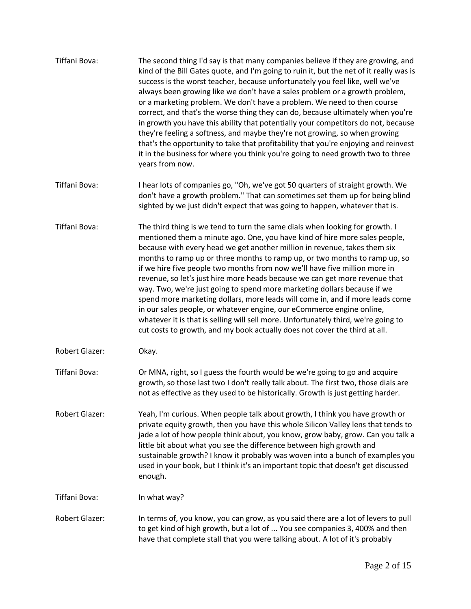| Tiffani Bova:         | The second thing I'd say is that many companies believe if they are growing, and<br>kind of the Bill Gates quote, and I'm going to ruin it, but the net of it really was is<br>success is the worst teacher, because unfortunately you feel like, well we've<br>always been growing like we don't have a sales problem or a growth problem,<br>or a marketing problem. We don't have a problem. We need to then course<br>correct, and that's the worse thing they can do, because ultimately when you're<br>in growth you have this ability that potentially your competitors do not, because<br>they're feeling a softness, and maybe they're not growing, so when growing<br>that's the opportunity to take that profitability that you're enjoying and reinvest<br>it in the business for where you think you're going to need growth two to three<br>years from now.                    |
|-----------------------|----------------------------------------------------------------------------------------------------------------------------------------------------------------------------------------------------------------------------------------------------------------------------------------------------------------------------------------------------------------------------------------------------------------------------------------------------------------------------------------------------------------------------------------------------------------------------------------------------------------------------------------------------------------------------------------------------------------------------------------------------------------------------------------------------------------------------------------------------------------------------------------------|
| Tiffani Bova:         | I hear lots of companies go, "Oh, we've got 50 quarters of straight growth. We<br>don't have a growth problem." That can sometimes set them up for being blind<br>sighted by we just didn't expect that was going to happen, whatever that is.                                                                                                                                                                                                                                                                                                                                                                                                                                                                                                                                                                                                                                               |
| Tiffani Bova:         | The third thing is we tend to turn the same dials when looking for growth. I<br>mentioned them a minute ago. One, you have kind of hire more sales people,<br>because with every head we get another million in revenue, takes them six<br>months to ramp up or three months to ramp up, or two months to ramp up, so<br>if we hire five people two months from now we'll have five million more in<br>revenue, so let's just hire more heads because we can get more revenue that<br>way. Two, we're just going to spend more marketing dollars because if we<br>spend more marketing dollars, more leads will come in, and if more leads come<br>in our sales people, or whatever engine, our eCommerce engine online,<br>whatever it is that is selling will sell more. Unfortunately third, we're going to<br>cut costs to growth, and my book actually does not cover the third at all. |
| Robert Glazer:        | Okay.                                                                                                                                                                                                                                                                                                                                                                                                                                                                                                                                                                                                                                                                                                                                                                                                                                                                                        |
| Tiffani Bova:         | Or MNA, right, so I guess the fourth would be we're going to go and acquire<br>growth, so those last two I don't really talk about. The first two, those dials are<br>not as effective as they used to be historically. Growth is just getting harder.                                                                                                                                                                                                                                                                                                                                                                                                                                                                                                                                                                                                                                       |
| <b>Robert Glazer:</b> | Yeah, I'm curious. When people talk about growth, I think you have growth or<br>private equity growth, then you have this whole Silicon Valley lens that tends to<br>jade a lot of how people think about, you know, grow baby, grow. Can you talk a<br>little bit about what you see the difference between high growth and<br>sustainable growth? I know it probably was woven into a bunch of examples you<br>used in your book, but I think it's an important topic that doesn't get discussed<br>enough.                                                                                                                                                                                                                                                                                                                                                                                |
| Tiffani Bova:         | In what way?                                                                                                                                                                                                                                                                                                                                                                                                                                                                                                                                                                                                                                                                                                                                                                                                                                                                                 |
| Robert Glazer:        | In terms of, you know, you can grow, as you said there are a lot of levers to pull<br>to get kind of high growth, but a lot of  You see companies 3, 400% and then<br>have that complete stall that you were talking about. A lot of it's probably                                                                                                                                                                                                                                                                                                                                                                                                                                                                                                                                                                                                                                           |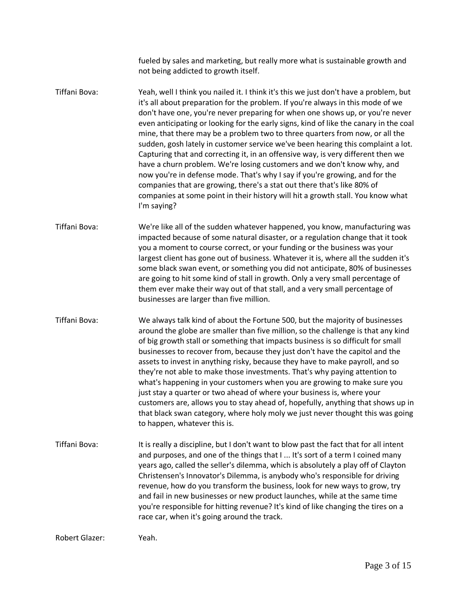fueled by sales and marketing, but really more what is sustainable growth and not being addicted to growth itself.

Tiffani Bova: Yeah, well I think you nailed it. I think it's this we just don't have a problem, but it's all about preparation for the problem. If you're always in this mode of we don't have one, you're never preparing for when one shows up, or you're never even anticipating or looking for the early signs, kind of like the canary in the coal mine, that there may be a problem two to three quarters from now, or all the sudden, gosh lately in customer service we've been hearing this complaint a lot. Capturing that and correcting it, in an offensive way, is very different then we have a churn problem. We're losing customers and we don't know why, and now you're in defense mode. That's why I say if you're growing, and for the companies that are growing, there's a stat out there that's like 80% of companies at some point in their history will hit a growth stall. You know what I'm saying?

Tiffani Bova: We're like all of the sudden whatever happened, you know, manufacturing was impacted because of some natural disaster, or a regulation change that it took you a moment to course correct, or your funding or the business was your largest client has gone out of business. Whatever it is, where all the sudden it's some black swan event, or something you did not anticipate, 80% of businesses are going to hit some kind of stall in growth. Only a very small percentage of them ever make their way out of that stall, and a very small percentage of businesses are larger than five million.

Tiffani Bova: We always talk kind of about the Fortune 500, but the majority of businesses around the globe are smaller than five million, so the challenge is that any kind of big growth stall or something that impacts business is so difficult for small businesses to recover from, because they just don't have the capitol and the assets to invest in anything risky, because they have to make payroll, and so they're not able to make those investments. That's why paying attention to what's happening in your customers when you are growing to make sure you just stay a quarter or two ahead of where your business is, where your customers are, allows you to stay ahead of, hopefully, anything that shows up in that black swan category, where holy moly we just never thought this was going to happen, whatever this is.

Tiffani Bova: It is really a discipline, but I don't want to blow past the fact that for all intent and purposes, and one of the things that I ... It's sort of a term I coined many years ago, called the seller's dilemma, which is absolutely a play off of Clayton Christensen's Innovator's Dilemma, is anybody who's responsible for driving revenue, how do you transform the business, look for new ways to grow, try and fail in new businesses or new product launches, while at the same time you're responsible for hitting revenue? It's kind of like changing the tires on a race car, when it's going around the track.

Robert Glazer: Yeah.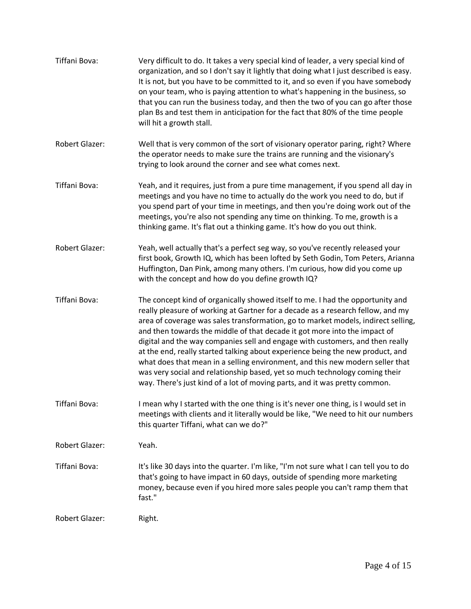| Tiffani Bova:         | Very difficult to do. It takes a very special kind of leader, a very special kind of<br>organization, and so I don't say it lightly that doing what I just described is easy.<br>It is not, but you have to be committed to it, and so even if you have somebody<br>on your team, who is paying attention to what's happening in the business, so<br>that you can run the business today, and then the two of you can go after those<br>plan Bs and test them in anticipation for the fact that 80% of the time people<br>will hit a growth stall.                                                                                                                                                                                                   |
|-----------------------|------------------------------------------------------------------------------------------------------------------------------------------------------------------------------------------------------------------------------------------------------------------------------------------------------------------------------------------------------------------------------------------------------------------------------------------------------------------------------------------------------------------------------------------------------------------------------------------------------------------------------------------------------------------------------------------------------------------------------------------------------|
| Robert Glazer:        | Well that is very common of the sort of visionary operator paring, right? Where<br>the operator needs to make sure the trains are running and the visionary's<br>trying to look around the corner and see what comes next.                                                                                                                                                                                                                                                                                                                                                                                                                                                                                                                           |
| Tiffani Bova:         | Yeah, and it requires, just from a pure time management, if you spend all day in<br>meetings and you have no time to actually do the work you need to do, but if<br>you spend part of your time in meetings, and then you're doing work out of the<br>meetings, you're also not spending any time on thinking. To me, growth is a<br>thinking game. It's flat out a thinking game. It's how do you out think.                                                                                                                                                                                                                                                                                                                                        |
| <b>Robert Glazer:</b> | Yeah, well actually that's a perfect seg way, so you've recently released your<br>first book, Growth IQ, which has been lofted by Seth Godin, Tom Peters, Arianna<br>Huffington, Dan Pink, among many others. I'm curious, how did you come up<br>with the concept and how do you define growth IQ?                                                                                                                                                                                                                                                                                                                                                                                                                                                  |
| Tiffani Bova:         | The concept kind of organically showed itself to me. I had the opportunity and<br>really pleasure of working at Gartner for a decade as a research fellow, and my<br>area of coverage was sales transformation, go to market models, indirect selling,<br>and then towards the middle of that decade it got more into the impact of<br>digital and the way companies sell and engage with customers, and then really<br>at the end, really started talking about experience being the new product, and<br>what does that mean in a selling environment, and this new modern seller that<br>was very social and relationship based, yet so much technology coming their<br>way. There's just kind of a lot of moving parts, and it was pretty common. |
| Tiffani Bova:         | I mean why I started with the one thing is it's never one thing, is I would set in<br>meetings with clients and it literally would be like, "We need to hit our numbers<br>this quarter Tiffani, what can we do?"                                                                                                                                                                                                                                                                                                                                                                                                                                                                                                                                    |
| <b>Robert Glazer:</b> | Yeah.                                                                                                                                                                                                                                                                                                                                                                                                                                                                                                                                                                                                                                                                                                                                                |
| Tiffani Bova:         | It's like 30 days into the quarter. I'm like, "I'm not sure what I can tell you to do<br>that's going to have impact in 60 days, outside of spending more marketing<br>money, because even if you hired more sales people you can't ramp them that<br>fast."                                                                                                                                                                                                                                                                                                                                                                                                                                                                                         |
| <b>Robert Glazer:</b> | Right.                                                                                                                                                                                                                                                                                                                                                                                                                                                                                                                                                                                                                                                                                                                                               |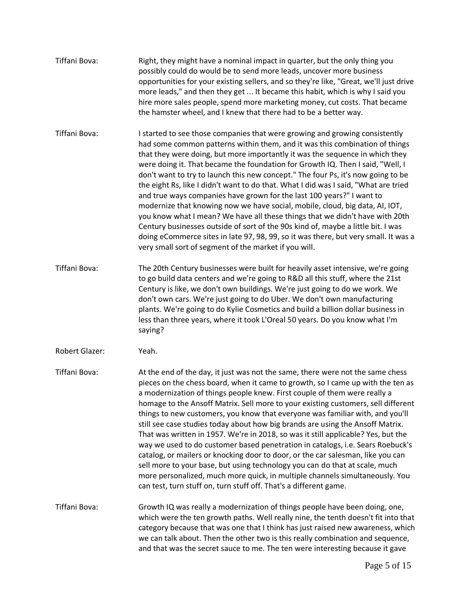| Tiffani Bova:  | Right, they might have a nominal impact in quarter, but the only thing you<br>possibly could do would be to send more leads, uncover more business<br>opportunities for your existing sellers, and so they're like, "Great, we'll just drive<br>more leads," and then they get  It became this habit, which is why I said you<br>hire more sales people, spend more marketing money, cut costs. That became<br>the hamster wheel, and I knew that there had to be a better way.                                                                                                                                                                                                                                                                                                                                                                                                                                                                                                                      |
|----------------|------------------------------------------------------------------------------------------------------------------------------------------------------------------------------------------------------------------------------------------------------------------------------------------------------------------------------------------------------------------------------------------------------------------------------------------------------------------------------------------------------------------------------------------------------------------------------------------------------------------------------------------------------------------------------------------------------------------------------------------------------------------------------------------------------------------------------------------------------------------------------------------------------------------------------------------------------------------------------------------------------|
| Tiffani Bova:  | I started to see those companies that were growing and growing consistently<br>had some common patterns within them, and it was this combination of things<br>that they were doing, but more importantly it was the sequence in which they<br>were doing it. That became the foundation for Growth IQ. Then I said, "Well, I<br>don't want to try to launch this new concept." The four Ps, it's now going to be<br>the eight Rs, like I didn't want to do that. What I did was I said, "What are tried<br>and true ways companies have grown for the last 100 years?" I want to<br>modernize that knowing now we have social, mobile, cloud, big data, AI, IOT,<br>you know what I mean? We have all these things that we didn't have with 20th<br>Century businesses outside of sort of the 90s kind of, maybe a little bit. I was<br>doing eCommerce sites in late 97, 98, 99, so it was there, but very small. It was a<br>very small sort of segment of the market if you will.                 |
| Tiffani Bova:  | The 20th Century businesses were built for heavily asset intensive, we're going<br>to go build data centers and we're going to R&D all this stuff, where the 21st<br>Century is like, we don't own buildings. We're just going to do we work. We<br>don't own cars. We're just going to do Uber. We don't own manufacturing<br>plants. We're going to do Kylie Cosmetics and build a billion dollar business in<br>less than three years, where it took L'Oreal 50 years. Do you know what I'm<br>saying?                                                                                                                                                                                                                                                                                                                                                                                                                                                                                            |
| Robert Glazer: | Yeah.                                                                                                                                                                                                                                                                                                                                                                                                                                                                                                                                                                                                                                                                                                                                                                                                                                                                                                                                                                                                |
| Tiffani Bova:  | At the end of the day, it just was not the same, there were not the same chess<br>pieces on the chess board, when it came to growth, so I came up with the ten as<br>a modernization of things people knew. First couple of them were really a<br>homage to the Ansoff Matrix. Sell more to your existing customers, sell different<br>things to new customers, you know that everyone was familiar with, and you'll<br>still see case studies today about how big brands are using the Ansoff Matrix.<br>That was written in 1957. We're in 2018, so was it still applicable? Yes, but the<br>way we used to do customer based penetration in catalogs, i.e. Sears Roebuck's<br>catalog, or mailers or knocking door to door, or the car salesman, like you can<br>sell more to your base, but using technology you can do that at scale, much<br>more personalized, much more quick, in multiple channels simultaneously. You<br>can test, turn stuff on, turn stuff off. That's a different game. |
| Tiffani Bova:  | Growth IQ was really a modernization of things people have been doing, one,<br>which were the ten growth paths. Well really nine, the tenth doesn't fit into that<br>category because that was one that I think has just raised new awareness, which<br>we can talk about. Then the other two is this really combination and sequence,<br>and that was the secret sauce to me. The ten were interesting because it gave                                                                                                                                                                                                                                                                                                                                                                                                                                                                                                                                                                              |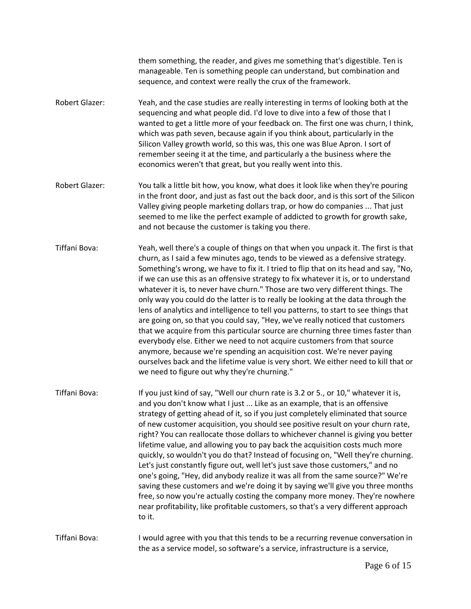them something, the reader, and gives me something that's digestible. Ten is manageable. Ten is something people can understand, but combination and sequence, and context were really the crux of the framework.

- Robert Glazer: Yeah, and the case studies are really interesting in terms of looking both at the sequencing and what people did. I'd love to dive into a few of those that I wanted to get a little more of your feedback on. The first one was churn, I think, which was path seven, because again if you think about, particularly in the Silicon Valley growth world, so this was, this one was Blue Apron. I sort of remember seeing it at the time, and particularly a the business where the economics weren't that great, but you really went into this.
- Robert Glazer: You talk a little bit how, you know, what does it look like when they're pouring in the front door, and just as fast out the back door, and is this sort of the Silicon Valley giving people marketing dollars trap, or how do companies ... That just seemed to me like the perfect example of addicted to growth for growth sake, and not because the customer is taking you there.
- Tiffani Bova: Yeah, well there's a couple of things on that when you unpack it. The first is that churn, as I said a few minutes ago, tends to be viewed as a defensive strategy. Something's wrong, we have to fix it. I tried to flip that on its head and say, "No, if we can use this as an offensive strategy to fix whatever it is, or to understand whatever it is, to never have churn." Those are two very different things. The only way you could do the latter is to really be looking at the data through the lens of analytics and intelligence to tell you patterns, to start to see things that are going on, so that you could say, "Hey, we've really noticed that customers that we acquire from this particular source are churning three times faster than everybody else. Either we need to not acquire customers from that source anymore, because we're spending an acquisition cost. We're never paying ourselves back and the lifetime value is very short. We either need to kill that or we need to figure out why they're churning."
- Tiffani Bova: If you just kind of say, "Well our churn rate is 3.2 or 5., or 10," whatever it is, and you don't know what I just ... Like as an example, that is an offensive strategy of getting ahead of it, so if you just completely eliminated that source of new customer acquisition, you should see positive result on your churn rate, right? You can reallocate those dollars to whichever channel is giving you better lifetime value, and allowing you to pay back the acquisition costs much more quickly, so wouldn't you do that? Instead of focusing on, "Well they're churning. Let's just constantly figure out, well let's just save those customers," and no one's going, "Hey, did anybody realize it was all from the same source?" We're saving these customers and we're doing it by saying we'll give you three months free, so now you're actually costing the company more money. They're nowhere near profitability, like profitable customers, so that's a very different approach to it.

Tiffani Bova: I would agree with you that this tends to be a recurring revenue conversation in the as a service model, so software's a service, infrastructure is a service,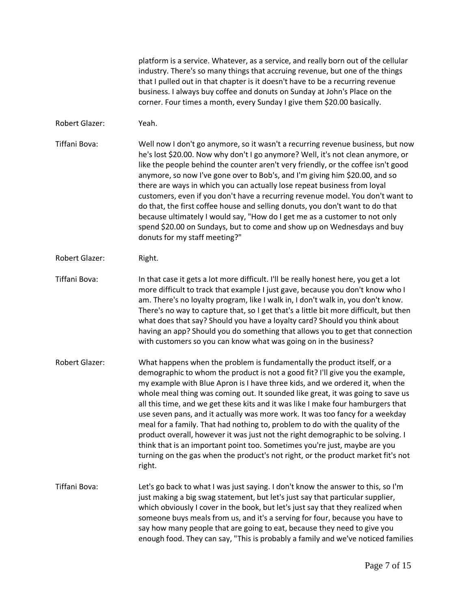platform is a service. Whatever, as a service, and really born out of the cellular industry. There's so many things that accruing revenue, but one of the things that I pulled out in that chapter is it doesn't have to be a recurring revenue business. I always buy coffee and donuts on Sunday at John's Place on the corner. Four times a month, every Sunday I give them \$20.00 basically.

Robert Glazer: Yeah.

Tiffani Bova: Well now I don't go anymore, so it wasn't a recurring revenue business, but now he's lost \$20.00. Now why don't I go anymore? Well, it's not clean anymore, or like the people behind the counter aren't very friendly, or the coffee isn't good anymore, so now I've gone over to Bob's, and I'm giving him \$20.00, and so there are ways in which you can actually lose repeat business from loyal customers, even if you don't have a recurring revenue model. You don't want to do that, the first coffee house and selling donuts, you don't want to do that because ultimately I would say, "How do I get me as a customer to not only spend \$20.00 on Sundays, but to come and show up on Wednesdays and buy donuts for my staff meeting?"

Robert Glazer: Right.

Tiffani Bova: In that case it gets a lot more difficult. I'll be really honest here, you get a lot more difficult to track that example I just gave, because you don't know who I am. There's no loyalty program, like I walk in, I don't walk in, you don't know. There's no way to capture that, so I get that's a little bit more difficult, but then what does that say? Should you have a loyalty card? Should you think about having an app? Should you do something that allows you to get that connection with customers so you can know what was going on in the business?

Robert Glazer: What happens when the problem is fundamentally the product itself, or a demographic to whom the product is not a good fit? I'll give you the example, my example with Blue Apron is I have three kids, and we ordered it, when the whole meal thing was coming out. It sounded like great, it was going to save us all this time, and we get these kits and it was like I make four hamburgers that use seven pans, and it actually was more work. It was too fancy for a weekday meal for a family. That had nothing to, problem to do with the quality of the product overall, however it was just not the right demographic to be solving. I think that is an important point too. Sometimes you're just, maybe are you turning on the gas when the product's not right, or the product market fit's not right.

Tiffani Bova: Let's go back to what I was just saying. I don't know the answer to this, so I'm just making a big swag statement, but let's just say that particular supplier, which obviously I cover in the book, but let's just say that they realized when someone buys meals from us, and it's a serving for four, because you have to say how many people that are going to eat, because they need to give you enough food. They can say, "This is probably a family and we've noticed families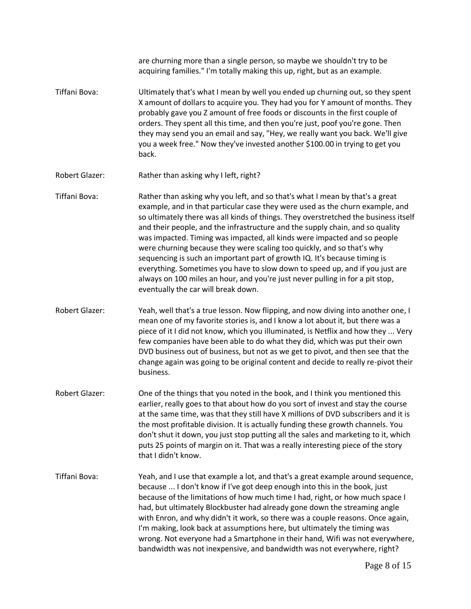are churning more than a single person, so maybe we shouldn't try to be acquiring families." I'm totally making this up, right, but as an example. Tiffani Bova: Ultimately that's what I mean by well you ended up churning out, so they spent X amount of dollars to acquire you. They had you for Y amount of months. They probably gave you Z amount of free foods or discounts in the first couple of orders. They spent all this time, and then you're just, poof you're gone. Then they may send you an email and say, "Hey, we really want you back. We'll give you a week free." Now they've invested another \$100.00 in trying to get you back. Robert Glazer: Rather than asking why I left, right? Tiffani Bova: Rather than asking why you left, and so that's what I mean by that's a great example, and in that particular case they were used as the churn example, and so ultimately there was all kinds of things. They overstretched the business itself and their people, and the infrastructure and the supply chain, and so quality was impacted. Timing was impacted, all kinds were impacted and so people were churning because they were scaling too quickly, and so that's why sequencing is such an important part of growth IQ. It's because timing is everything. Sometimes you have to slow down to speed up, and if you just are always on 100 miles an hour, and you're just never pulling in for a pit stop, eventually the car will break down. Robert Glazer: Yeah, well that's a true lesson. Now flipping, and now diving into another one, I mean one of my favorite stories is, and I know a lot about it, but there was a piece of it I did not know, which you illuminated, is Netflix and how they ... Very few companies have been able to do what they did, which was put their own DVD business out of business, but not as we get to pivot, and then see that the change again was going to be original content and decide to really re-pivot their business. Robert Glazer: One of the things that you noted in the book, and I think you mentioned this earlier, really goes to that about how do you sort of invest and stay the course at the same time, was that they still have X millions of DVD subscribers and it is the most profitable division. It is actually funding these growth channels. You don't shut it down, you just stop putting all the sales and marketing to it, which puts 25 points of margin on it. That was a really interesting piece of the story that I didn't know. Tiffani Bova: Yeah, and I use that example a lot, and that's a great example around sequence, because ... I don't know if I've got deep enough into this in the book, just because of the limitations of how much time I had, right, or how much space I had, but ultimately Blockbuster had already gone down the streaming angle with Enron, and why didn't it work, so there was a couple reasons. Once again, I'm making, look back at assumptions here, but ultimately the timing was wrong. Not everyone had a Smartphone in their hand, Wifi was not everywhere, bandwidth was not inexpensive, and bandwidth was not everywhere, right?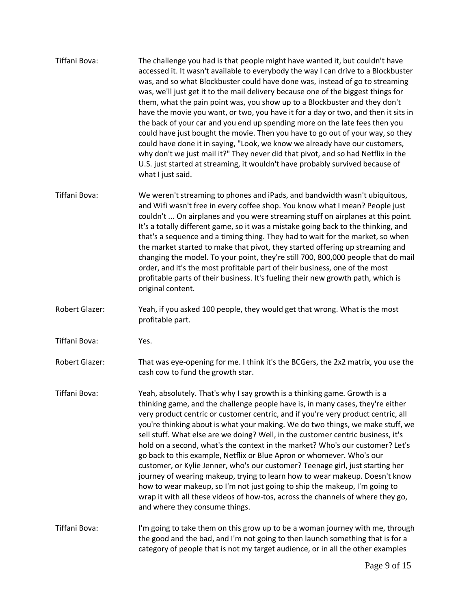| Tiffani Bova:         | The challenge you had is that people might have wanted it, but couldn't have<br>accessed it. It wasn't available to everybody the way I can drive to a Blockbuster<br>was, and so what Blockbuster could have done was, instead of go to streaming<br>was, we'll just get it to the mail delivery because one of the biggest things for<br>them, what the pain point was, you show up to a Blockbuster and they don't<br>have the movie you want, or two, you have it for a day or two, and then it sits in<br>the back of your car and you end up spending more on the late fees then you<br>could have just bought the movie. Then you have to go out of your way, so they<br>could have done it in saying, "Look, we know we already have our customers,<br>why don't we just mail it?" They never did that pivot, and so had Netflix in the<br>U.S. just started at streaming, it wouldn't have probably survived because of<br>what I just said. |
|-----------------------|-------------------------------------------------------------------------------------------------------------------------------------------------------------------------------------------------------------------------------------------------------------------------------------------------------------------------------------------------------------------------------------------------------------------------------------------------------------------------------------------------------------------------------------------------------------------------------------------------------------------------------------------------------------------------------------------------------------------------------------------------------------------------------------------------------------------------------------------------------------------------------------------------------------------------------------------------------|
| Tiffani Bova:         | We weren't streaming to phones and iPads, and bandwidth wasn't ubiquitous,<br>and Wifi wasn't free in every coffee shop. You know what I mean? People just<br>couldn't  On airplanes and you were streaming stuff on airplanes at this point.<br>It's a totally different game, so it was a mistake going back to the thinking, and<br>that's a sequence and a timing thing. They had to wait for the market, so when<br>the market started to make that pivot, they started offering up streaming and<br>changing the model. To your point, they're still 700, 800,000 people that do mail<br>order, and it's the most profitable part of their business, one of the most<br>profitable parts of their business. It's fueling their new growth path, which is<br>original content.                                                                                                                                                                   |
| <b>Robert Glazer:</b> | Yeah, if you asked 100 people, they would get that wrong. What is the most<br>profitable part.                                                                                                                                                                                                                                                                                                                                                                                                                                                                                                                                                                                                                                                                                                                                                                                                                                                        |
| Tiffani Bova:         | Yes.                                                                                                                                                                                                                                                                                                                                                                                                                                                                                                                                                                                                                                                                                                                                                                                                                                                                                                                                                  |
| <b>Robert Glazer:</b> | That was eye-opening for me. I think it's the BCGers, the 2x2 matrix, you use the<br>cash cow to fund the growth star.                                                                                                                                                                                                                                                                                                                                                                                                                                                                                                                                                                                                                                                                                                                                                                                                                                |
| Tiffani Bova:         | Yeah, absolutely. That's why I say growth is a thinking game. Growth is a<br>thinking game, and the challenge people have is, in many cases, they're either<br>very product centric or customer centric, and if you're very product centric, all<br>you're thinking about is what your making. We do two things, we make stuff, we<br>sell stuff. What else are we doing? Well, in the customer centric business, it's<br>hold on a second, what's the context in the market? Who's our customer? Let's<br>go back to this example, Netflix or Blue Apron or whomever. Who's our<br>customer, or Kylie Jenner, who's our customer? Teenage girl, just starting her<br>journey of wearing makeup, trying to learn how to wear makeup. Doesn't know<br>how to wear makeup, so I'm not just going to ship the makeup, I'm going to<br>wrap it with all these videos of how-tos, across the channels of where they go,<br>and where they consume things.  |
| Tiffani Bova:         | I'm going to take them on this grow up to be a woman journey with me, through<br>the good and the bad, and I'm not going to then launch something that is for a<br>category of people that is not my target audience, or in all the other examples                                                                                                                                                                                                                                                                                                                                                                                                                                                                                                                                                                                                                                                                                                    |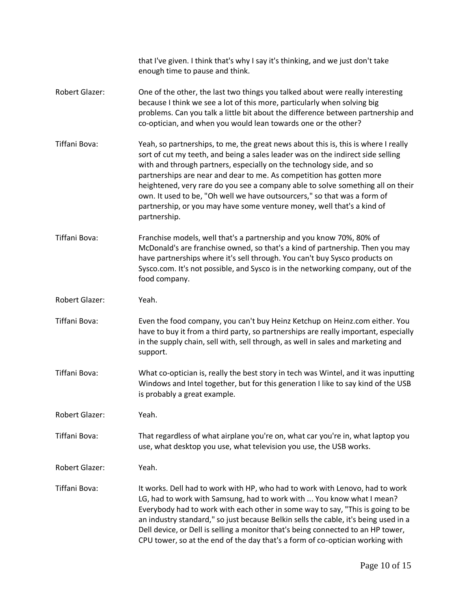|                       | that I've given. I think that's why I say it's thinking, and we just don't take<br>enough time to pause and think.                                                                                                                                                                                                                                                                                                                                                                                                                                                             |
|-----------------------|--------------------------------------------------------------------------------------------------------------------------------------------------------------------------------------------------------------------------------------------------------------------------------------------------------------------------------------------------------------------------------------------------------------------------------------------------------------------------------------------------------------------------------------------------------------------------------|
| <b>Robert Glazer:</b> | One of the other, the last two things you talked about were really interesting<br>because I think we see a lot of this more, particularly when solving big<br>problems. Can you talk a little bit about the difference between partnership and<br>co-optician, and when you would lean towards one or the other?                                                                                                                                                                                                                                                               |
| Tiffani Bova:         | Yeah, so partnerships, to me, the great news about this is, this is where I really<br>sort of cut my teeth, and being a sales leader was on the indirect side selling<br>with and through partners, especially on the technology side, and so<br>partnerships are near and dear to me. As competition has gotten more<br>heightened, very rare do you see a company able to solve something all on their<br>own. It used to be, "Oh well we have outsourcers," so that was a form of<br>partnership, or you may have some venture money, well that's a kind of<br>partnership. |
| Tiffani Bova:         | Franchise models, well that's a partnership and you know 70%, 80% of<br>McDonald's are franchise owned, so that's a kind of partnership. Then you may<br>have partnerships where it's sell through. You can't buy Sysco products on<br>Sysco.com. It's not possible, and Sysco is in the networking company, out of the<br>food company.                                                                                                                                                                                                                                       |
| Robert Glazer:        | Yeah.                                                                                                                                                                                                                                                                                                                                                                                                                                                                                                                                                                          |
| Tiffani Bova:         | Even the food company, you can't buy Heinz Ketchup on Heinz.com either. You<br>have to buy it from a third party, so partnerships are really important, especially<br>in the supply chain, sell with, sell through, as well in sales and marketing and<br>support.                                                                                                                                                                                                                                                                                                             |
| Tiffani Bova:         | What co-optician is, really the best story in tech was Wintel, and it was inputting<br>Windows and Intel together, but for this generation I like to say kind of the USB<br>is probably a great example.                                                                                                                                                                                                                                                                                                                                                                       |
| <b>Robert Glazer:</b> | Yeah.                                                                                                                                                                                                                                                                                                                                                                                                                                                                                                                                                                          |
| Tiffani Bova:         | That regardless of what airplane you're on, what car you're in, what laptop you<br>use, what desktop you use, what television you use, the USB works.                                                                                                                                                                                                                                                                                                                                                                                                                          |
| Robert Glazer:        | Yeah.                                                                                                                                                                                                                                                                                                                                                                                                                                                                                                                                                                          |
| Tiffani Bova:         | It works. Dell had to work with HP, who had to work with Lenovo, had to work<br>LG, had to work with Samsung, had to work with  You know what I mean?<br>Everybody had to work with each other in some way to say, "This is going to be<br>an industry standard," so just because Belkin sells the cable, it's being used in a<br>Dell device, or Dell is selling a monitor that's being connected to an HP tower,<br>CPU tower, so at the end of the day that's a form of co-optician working with                                                                            |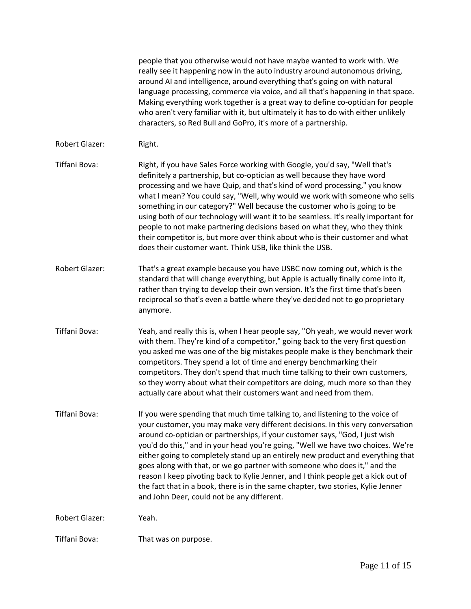people that you otherwise would not have maybe wanted to work with. We really see it happening now in the auto industry around autonomous driving, around AI and intelligence, around everything that's going on with natural language processing, commerce via voice, and all that's happening in that space. Making everything work together is a great way to define co-optician for people who aren't very familiar with it, but ultimately it has to do with either unlikely characters, so Red Bull and GoPro, it's more of a partnership. Robert Glazer: Right. Tiffani Bova: Right, if you have Sales Force working with Google, you'd say, "Well that's definitely a partnership, but co-optician as well because they have word processing and we have Quip, and that's kind of word processing," you know what I mean? You could say, "Well, why would we work with someone who sells something in our category?" Well because the customer who is going to be using both of our technology will want it to be seamless. It's really important for people to not make partnering decisions based on what they, who they think their competitor is, but more over think about who is their customer and what does their customer want. Think USB, like think the USB. Robert Glazer: That's a great example because you have USBC now coming out, which is the standard that will change everything, but Apple is actually finally come into it, rather than trying to develop their own version. It's the first time that's been reciprocal so that's even a battle where they've decided not to go proprietary anymore. Tiffani Bova: Yeah, and really this is, when I hear people say, "Oh yeah, we would never work with them. They're kind of a competitor," going back to the very first question you asked me was one of the big mistakes people make is they benchmark their competitors. They spend a lot of time and energy benchmarking their competitors. They don't spend that much time talking to their own customers, so they worry about what their competitors are doing, much more so than they actually care about what their customers want and need from them. Tiffani Bova: If you were spending that much time talking to, and listening to the voice of your customer, you may make very different decisions. In this very conversation around co-optician or partnerships, if your customer says, "God, I just wish you'd do this," and in your head you're going, "Well we have two choices. We're either going to completely stand up an entirely new product and everything that goes along with that, or we go partner with someone who does it," and the reason I keep pivoting back to Kylie Jenner, and I think people get a kick out of the fact that in a book, there is in the same chapter, two stories, Kylie Jenner and John Deer, could not be any different. Robert Glazer: Yeah. Tiffani Bova: That was on purpose.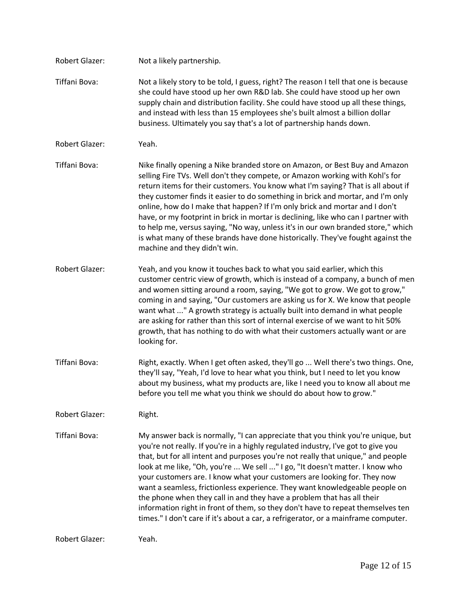| Robert Glazer:       | Not a likely partnership.                                                                                                                                                                                                                                                                                                                                                                                                                                                                                                                                                                                                                                                                                                                              |
|----------------------|--------------------------------------------------------------------------------------------------------------------------------------------------------------------------------------------------------------------------------------------------------------------------------------------------------------------------------------------------------------------------------------------------------------------------------------------------------------------------------------------------------------------------------------------------------------------------------------------------------------------------------------------------------------------------------------------------------------------------------------------------------|
| Tiffani Bova:        | Not a likely story to be told, I guess, right? The reason I tell that one is because<br>she could have stood up her own R&D lab. She could have stood up her own<br>supply chain and distribution facility. She could have stood up all these things,<br>and instead with less than 15 employees she's built almost a billion dollar<br>business. Ultimately you say that's a lot of partnership hands down.                                                                                                                                                                                                                                                                                                                                           |
| Robert Glazer:       | Yeah.                                                                                                                                                                                                                                                                                                                                                                                                                                                                                                                                                                                                                                                                                                                                                  |
| Tiffani Bova:        | Nike finally opening a Nike branded store on Amazon, or Best Buy and Amazon<br>selling Fire TVs. Well don't they compete, or Amazon working with Kohl's for<br>return items for their customers. You know what I'm saying? That is all about if<br>they customer finds it easier to do something in brick and mortar, and I'm only<br>online, how do I make that happen? If I'm only brick and mortar and I don't<br>have, or my footprint in brick in mortar is declining, like who can I partner with<br>to help me, versus saying, "No way, unless it's in our own branded store," which<br>is what many of these brands have done historically. They've fought against the<br>machine and they didn't win.                                         |
| Robert Glazer:       | Yeah, and you know it touches back to what you said earlier, which this<br>customer centric view of growth, which is instead of a company, a bunch of men<br>and women sitting around a room, saying, "We got to grow. We got to grow,"<br>coming in and saying, "Our customers are asking us for X. We know that people<br>want what " A growth strategy is actually built into demand in what people<br>are asking for rather than this sort of internal exercise of we want to hit 50%<br>growth, that has nothing to do with what their customers actually want or are<br>looking for.                                                                                                                                                             |
| Tiffani Bova:        | Right, exactly. When I get often asked, they'll go  Well there's two things. One,<br>they'll say, "Yeah, I'd love to hear what you think, but I need to let you know<br>about my business, what my products are, like I need you to know all about me<br>before you tell me what you think we should do about how to grow."                                                                                                                                                                                                                                                                                                                                                                                                                            |
| Robert Glazer:       | Right.                                                                                                                                                                                                                                                                                                                                                                                                                                                                                                                                                                                                                                                                                                                                                 |
| Tiffani Bova:        | My answer back is normally, "I can appreciate that you think you're unique, but<br>you're not really. If you're in a highly regulated industry, I've got to give you<br>that, but for all intent and purposes you're not really that unique," and people<br>look at me like, "Oh, you're  We sell " I go, "It doesn't matter. I know who<br>your customers are. I know what your customers are looking for. They now<br>want a seamless, frictionless experience. They want knowledgeable people on<br>the phone when they call in and they have a problem that has all their<br>information right in front of them, so they don't have to repeat themselves ten<br>times." I don't care if it's about a car, a refrigerator, or a mainframe computer. |
| $D \cap \text{Part}$ | いへっト                                                                                                                                                                                                                                                                                                                                                                                                                                                                                                                                                                                                                                                                                                                                                   |

Robert Glazer: Yeah.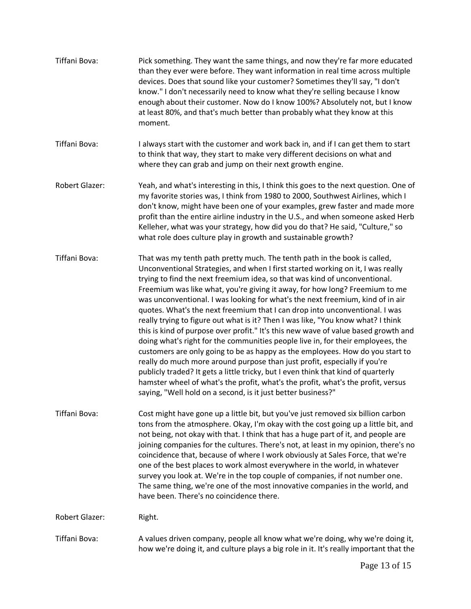| Tiffani Bova:         | Pick something. They want the same things, and now they're far more educated<br>than they ever were before. They want information in real time across multiple<br>devices. Does that sound like your customer? Sometimes they'll say, "I don't<br>know." I don't necessarily need to know what they're selling because I know<br>enough about their customer. Now do I know 100%? Absolutely not, but I know<br>at least 80%, and that's much better than probably what they know at this<br>moment.                                                                                                                                                                                                                                                                                                                                                                                                                                                                                                                                                                                                                                                           |
|-----------------------|----------------------------------------------------------------------------------------------------------------------------------------------------------------------------------------------------------------------------------------------------------------------------------------------------------------------------------------------------------------------------------------------------------------------------------------------------------------------------------------------------------------------------------------------------------------------------------------------------------------------------------------------------------------------------------------------------------------------------------------------------------------------------------------------------------------------------------------------------------------------------------------------------------------------------------------------------------------------------------------------------------------------------------------------------------------------------------------------------------------------------------------------------------------|
| Tiffani Bova:         | I always start with the customer and work back in, and if I can get them to start<br>to think that way, they start to make very different decisions on what and<br>where they can grab and jump on their next growth engine.                                                                                                                                                                                                                                                                                                                                                                                                                                                                                                                                                                                                                                                                                                                                                                                                                                                                                                                                   |
| <b>Robert Glazer:</b> | Yeah, and what's interesting in this, I think this goes to the next question. One of<br>my favorite stories was, I think from 1980 to 2000, Southwest Airlines, which I<br>don't know, might have been one of your examples, grew faster and made more<br>profit than the entire airline industry in the U.S., and when someone asked Herb<br>Kelleher, what was your strategy, how did you do that? He said, "Culture," so<br>what role does culture play in growth and sustainable growth?                                                                                                                                                                                                                                                                                                                                                                                                                                                                                                                                                                                                                                                                   |
| Tiffani Bova:         | That was my tenth path pretty much. The tenth path in the book is called,<br>Unconventional Strategies, and when I first started working on it, I was really<br>trying to find the next freemium idea, so that was kind of unconventional.<br>Freemium was like what, you're giving it away, for how long? Freemium to me<br>was unconventional. I was looking for what's the next freemium, kind of in air<br>quotes. What's the next freemium that I can drop into unconventional. I was<br>really trying to figure out what is it? Then I was like, "You know what? I think<br>this is kind of purpose over profit." It's this new wave of value based growth and<br>doing what's right for the communities people live in, for their employees, the<br>customers are only going to be as happy as the employees. How do you start to<br>really do much more around purpose than just profit, especially if you're<br>publicly traded? It gets a little tricky, but I even think that kind of quarterly<br>hamster wheel of what's the profit, what's the profit, what's the profit, versus<br>saying, "Well hold on a second, is it just better business?" |
| Tiffani Bova:         | Cost might have gone up a little bit, but you've just removed six billion carbon<br>tons from the atmosphere. Okay, I'm okay with the cost going up a little bit, and<br>not being, not okay with that. I think that has a huge part of it, and people are<br>joining companies for the cultures. There's not, at least in my opinion, there's no<br>coincidence that, because of where I work obviously at Sales Force, that we're<br>one of the best places to work almost everywhere in the world, in whatever<br>survey you look at. We're in the top couple of companies, if not number one.<br>The same thing, we're one of the most innovative companies in the world, and<br>have been. There's no coincidence there.                                                                                                                                                                                                                                                                                                                                                                                                                                  |
| Robert Glazer:        | Right.                                                                                                                                                                                                                                                                                                                                                                                                                                                                                                                                                                                                                                                                                                                                                                                                                                                                                                                                                                                                                                                                                                                                                         |
| Tiffani Bova:         | A values driven company, people all know what we're doing, why we're doing it,<br>how we're doing it, and culture plays a big role in it. It's really important that the                                                                                                                                                                                                                                                                                                                                                                                                                                                                                                                                                                                                                                                                                                                                                                                                                                                                                                                                                                                       |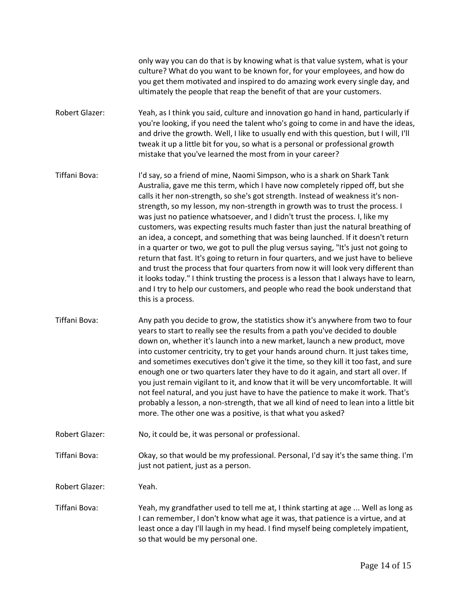only way you can do that is by knowing what is that value system, what is your culture? What do you want to be known for, for your employees, and how do you get them motivated and inspired to do amazing work every single day, and ultimately the people that reap the benefit of that are your customers.

- Robert Glazer: Yeah, as I think you said, culture and innovation go hand in hand, particularly if you're looking, if you need the talent who's going to come in and have the ideas, and drive the growth. Well, I like to usually end with this question, but I will, I'll tweak it up a little bit for you, so what is a personal or professional growth mistake that you've learned the most from in your career?
- Tiffani Bova: I'd say, so a friend of mine, Naomi Simpson, who is a shark on Shark Tank Australia, gave me this term, which I have now completely ripped off, but she calls it her non-strength, so she's got strength. Instead of weakness it's nonstrength, so my lesson, my non-strength in growth was to trust the process. I was just no patience whatsoever, and I didn't trust the process. I, like my customers, was expecting results much faster than just the natural breathing of an idea, a concept, and something that was being launched. If it doesn't return in a quarter or two, we got to pull the plug versus saying, "It's just not going to return that fast. It's going to return in four quarters, and we just have to believe and trust the process that four quarters from now it will look very different than it looks today." I think trusting the process is a lesson that I always have to learn, and I try to help our customers, and people who read the book understand that this is a process.
- Tiffani Bova: Any path you decide to grow, the statistics show it's anywhere from two to four years to start to really see the results from a path you've decided to double down on, whether it's launch into a new market, launch a new product, move into customer centricity, try to get your hands around churn. It just takes time, and sometimes executives don't give it the time, so they kill it too fast, and sure enough one or two quarters later they have to do it again, and start all over. If you just remain vigilant to it, and know that it will be very uncomfortable. It will not feel natural, and you just have to have the patience to make it work. That's probably a lesson, a non-strength, that we all kind of need to lean into a little bit more. The other one was a positive, is that what you asked?
- Robert Glazer: No, it could be, it was personal or professional.

Tiffani Bova: Okay, so that would be my professional. Personal, I'd say it's the same thing. I'm just not patient, just as a person.

Robert Glazer: Yeah.

Tiffani Bova: Yeah, my grandfather used to tell me at, I think starting at age ... Well as long as I can remember, I don't know what age it was, that patience is a virtue, and at least once a day I'll laugh in my head. I find myself being completely impatient, so that would be my personal one.